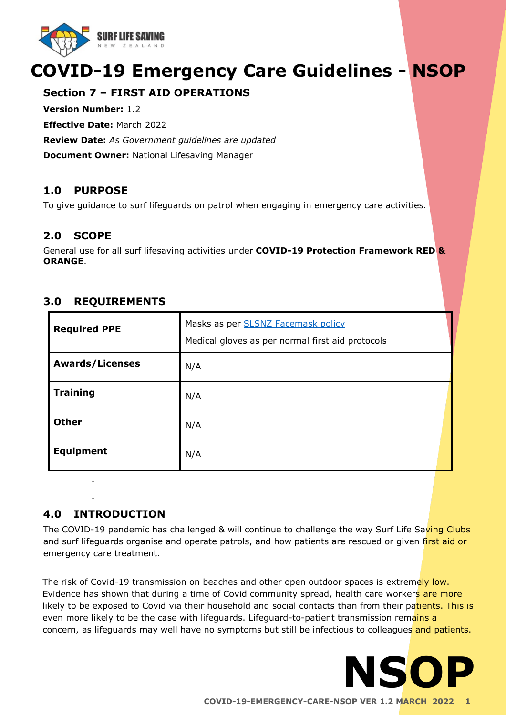

# **COVID-19 Emergency Care Guidelines - NSOP**

# **Section 7 – FIRST AID OPERATIONS**

**Version Number:** 1.2

**Effective Date:** March 2022

**Review Date:** *As Government guidelines are updated* 

**Document Owner:** National Lifesaving Manager

## **1.0 PURPOSE**

To give guidance to surf lifeguards on patrol when engaging in emergency care activities.

## **2.0 SCOPE**

General use for all surf lifesaving activities under **COVID-19 Protection Framework RED & ORANGE**.

| <b>Required PPE</b>    | Masks as per <b>SLSNZ Facemask policy</b><br>Medical gloves as per normal first aid protocols |
|------------------------|-----------------------------------------------------------------------------------------------|
| <b>Awards/Licenses</b> | N/A                                                                                           |
| <b>Training</b>        | N/A                                                                                           |
| <b>Other</b>           | N/A                                                                                           |
| <b>Equipment</b>       | N/A                                                                                           |

## **3.0 REQUIREMENTS**

## **4.0 INTRODUCTION**

- -

The COVID-19 pandemic has challenged & will continue to challenge the way Surf Life Saving Clubs and surf lifeguards organise and operate patrols, and how patients are rescued or given first aid or emergency care treatment.

The risk of Covid-19 transmission on beaches and other open outdoor spaces is extremely low. Evidence has shown that during a time of Covid community spread, health care workers are more likely to be exposed to Covid via their household and social contacts than from their patients. This is even more likely to be the case with lifeguards. Lifeguard-to-patient transmission remains a concern, as lifeguards may well have no symptoms but still be infectious to colleagues and patients.

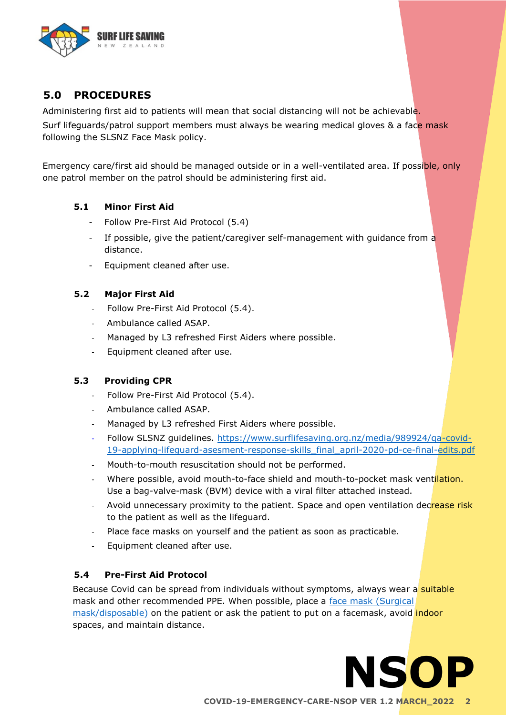

# **5.0 PROCEDURES**

Administering first aid to patients will mean that social distancing will not be achievable.

Surf lifeguards/patrol support members must always be wearing medical gloves & a face mask following the SLSNZ Face Mask policy.

Emergency care/first aid should be managed outside or in a well-ventilated area. If possible, only one patrol member on the patrol should be administering first aid.

#### **5.1 Minor First Aid**

- Follow Pre-First Aid Protocol (5.4)
- If possible, give the patient/caregiver self-management with guidance from a distance.
- Equipment cleaned after use.

## **5.2 Major First Aid**

- Follow Pre-First Aid Protocol (5.4).
- Ambulance called ASAP.
- Managed by L3 refreshed First Aiders where possible.
- Equipment cleaned after use.

## **5.3 Providing CPR**

- Follow Pre-First Aid Protocol (5.4).
- Ambulance called ASAP.
- Managed by L3 refreshed First Aiders where possible.
- Follow SLSNZ guidelines. [https://www.surflifesaving.org.nz/media/989924/qa-covid-](https://www.surflifesaving.org.nz/media/989924/qa-covid-19-applying-lifeguard-asesment-response-skills_final_april-2020-pd-ce-final-edits.pdf)[19-applying-lifeguard-asesment-response-skills\\_final\\_april-2020-pd-ce-final-edits.pdf](https://www.surflifesaving.org.nz/media/989924/qa-covid-19-applying-lifeguard-asesment-response-skills_final_april-2020-pd-ce-final-edits.pdf)
- Mouth-to-mouth resuscitation should not be performed.
- Where possible, avoid mouth-to-face shield and mouth-to-pocket mask ventilation. Use a bag-valve-mask (BVM) device with a viral filter attached instead.
- Avoid unnecessary proximity to the patient. Space and open ventilation decrease risk to the patient as well as the lifeguard.
- Place face masks on yourself and the patient as soon as practicable.
- Equipment cleaned after use.

## **5.4 Pre-First Aid Protocol**

Because Covid can be spread from individuals without symptoms, always wear a suitable mask and other recommended PPE. When possible, place a face mask (Surgical [mask/disposable\)](https://drive.google.com/file/d/1EYmA3k051qoRFKQAQhHmJFNY1isnwKPx/view) on the patient or ask the patient to put on a facemask, avoid indoor spaces, and maintain distance.